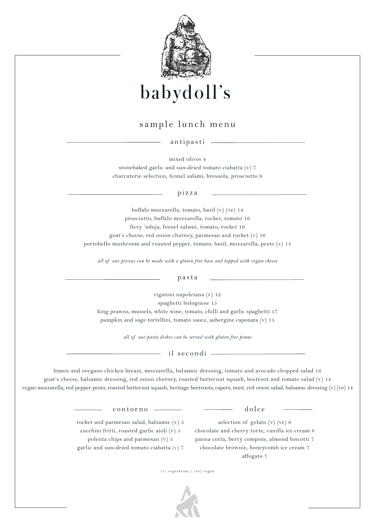

babydoll's

# sample lunch menu

antipasti

mixed olives 4 stonebaked garlic and sun-dried tomato ciabatta (v) 7 charcuterie selection, fennel salami, bresaola, prosciutto 9

pizza

buffalo mozzarella, tomato, basil (v) (ve) 14 prosciutto, buffalo mozzarella, rocket, tomato 16 fiery 'nduja, fennel salami, tomato, rocket 16 goat's cheese, red onion chutney, parmesan and rocket (v) 16 portobello mushroom and roasted pepper, tomato, basil, mozzarella, pesto (v) 15

*all of our pizzas can be made with a gluten free base and topped with vegan cheese*

pasta

rigatoni napoletana (v) 12

spaghetti bolognese 15

king prawns, mussels, white wine, tomato, chilli and garlic spaghetti 17 pumpkin and sage tortellini, tomato sauce, aubergine caponata (v) 15

*all of our pasta dishes can be served with gluten free penne*

il secondi

lemon and oregano chicken breast, mozzarella, balsamic dressing, tomato and avocado chopped salad 16 goat's cheese, balsamic dressing, red onion chutney, roasted butternut squash, beetroot and tomato salad (v) 14 vegan mozzarella, red pepper pesto, roasted butternut squash, heritage beetroots, capers, mint, red onion salad, balsamic dressing (v) (ve) 14

dolce

contorno

rocket and parmesan salad, balsamic (v) 5 zucchini fritti, roasted garlic aioli (v) 5 polenta chips and parmesan (v) 5 garlic and sun-dried tomato ciabatta (v) 7

selection of gelato (v) (ve) 6 chocolate and cherry torte, vanilla ice cream 8 panna cotta, berry compote, almond biscotti 7 chocolate brownie, honeycomb ice cream 7 affogato 7

 $(v)$  vegetarian | (ve) vegan